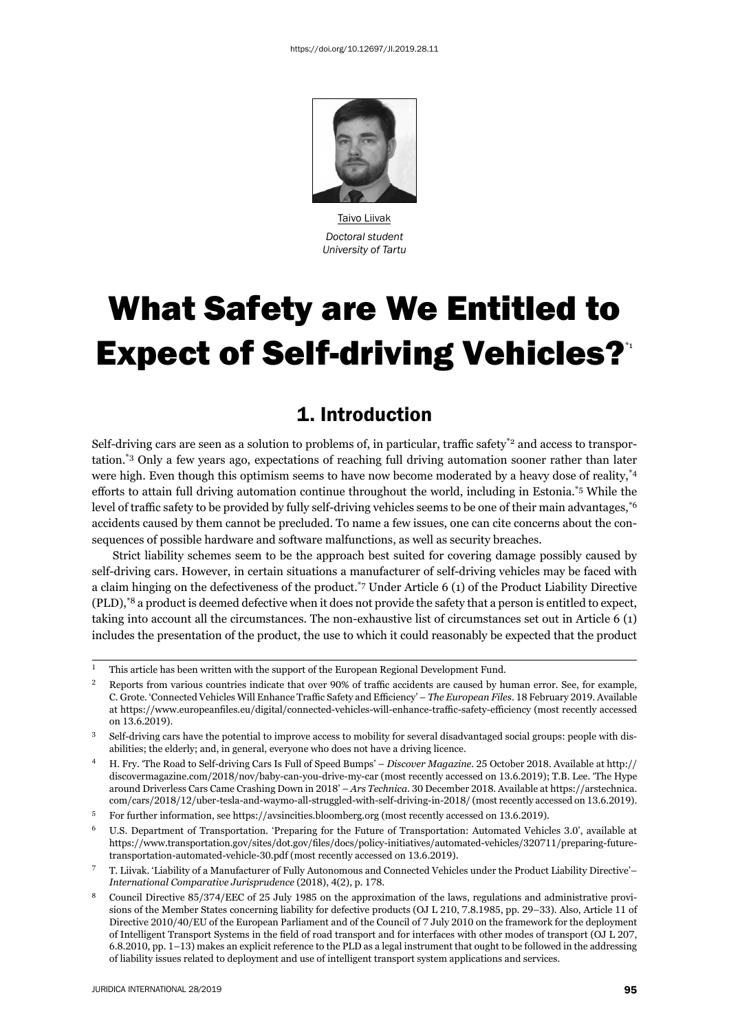

Taivo Liivak *Doctoral student University of Tartu*

# What Safety are We Entitled to **Expect of Self-driving Vehicles?**<sup>1</sup>

## 1. Introduction

Self-driving cars are seen as a solution to problems of, in particular, traffic safety\*2 and access to transportation.\*3 Only a few years ago, expectations of reaching full driving automation sooner rather than later were high. Even though this optimism seems to have now become moderated by a heavy dose of reality,<sup>\*4</sup> efforts to attain full driving automation continue throughout the world, including in Estonia.<sup>\*5</sup> While the level of traffic safety to be provided by fully self-driving vehicles seems to be one of their main advantages,<sup>\*6</sup> accidents caused by them cannot be precluded. To name a few issues, one can cite concerns about the consequences of possible hardware and software malfunctions, as well as security breaches.

Strict liability schemes seem to be the approach best suited for covering damage possibly caused by self-driving cars. However, in certain situations a manufacturer of self-driving vehicles may be faced with a claim hinging on the defectiveness of the product.\*7 Under Article 6 (1) of the Product Liability Directive (PLD),\*8 a product is deemed defective when it does not provide the safety that a person is entitled to expect, taking into account all the circumstances. The non-exhaustive list of circumstances set out in Article 6 (1) includes the presentation of the product, the use to which it could reasonably be expected that the product

<sup>ɲ</sup> This article has been written with the support of the European Regional Development Fund.

<sup>&</sup>lt;sup>2</sup> Reports from various countries indicate that over 90% of traffic accidents are caused by human error. See, for example, C. Grote. 'Connected Vehicles Will Enhance Traffic Safety and Efficiency' – *The European Files*. 18 February 2019. Available at https://www.europeanfiles.eu/digital/connected-vehicles-will-enhance-traffic-safety-efficiency (most recently accessed on 13.6.2019).

<sup>&</sup>lt;sup>3</sup> Self-driving cars have the potential to improve access to mobility for several disadvantaged social groups: people with disabilities; the elderly; and, in general, everyone who does not have a driving licence.

<sup>&</sup>lt;sup>4</sup> H. Fry. 'The Road to Self-driving Cars Is Full of Speed Bumps' – *Discover Magazine*. 25 October 2018. Available at http:// discovermagazine.com/2018/nov/baby-can-you-drive-my-car (most recently accessed on 13.6.2019); T.B. Lee. 'The Hype around Driverless Cars Came Crashing Down in 2018' – *Ars Technica*. 30 December 2018. Available at https://arstechnica. com/cars/2018/12/uber-tesla-and-waymo-all-struggled-with-self-driving-in-2018/ (most recently accessed on 13.6.2019).

 $^5$  For further information, see https://avsincities.bloomberg.org (most recently accessed on 13.6.2019).

U.S. Department of Transportation. 'Preparing for the Future of Transportation: Automated Vehicles 3.0', available at https://www.transportation.gov/sites/dot.gov/files/docs/policy-initiatives/automated-vehicles/320711/preparing-futuretransportation-automated-vehicle-30.pdf (most recently accessed on 13.6.2019).

<sup>ɸ</sup> T. Liivak. 'Liability of a Manufacturer of Fully Autonomous and Connected Vehicles under the Product Liability Directive'– *International Comparative Jurisprudence* (2018), 4(2), p. 178.

<sup>&</sup>lt;sup>8</sup> Council Directive 85/374/EEC of 25 July 1985 on the approximation of the laws, regulations and administrative provisions of the Member States concerning liability for defective products (OJ L 210, 7.8.1985, pp. 29–33). Also, Article 11 of Directive 2010/40/EU of the European Parliament and of the Council of 7 July 2010 on the framework for the deployment of Intelligent Transport Systems in the field of road transport and for interfaces with other modes of transport (OJ L 207, 6.8.2010, pp. 1–13) makes an explicit reference to the PLD as a legal instrument that ought to be followed in the addressing of liability issues related to deployment and use of intelligent transport system applications and services.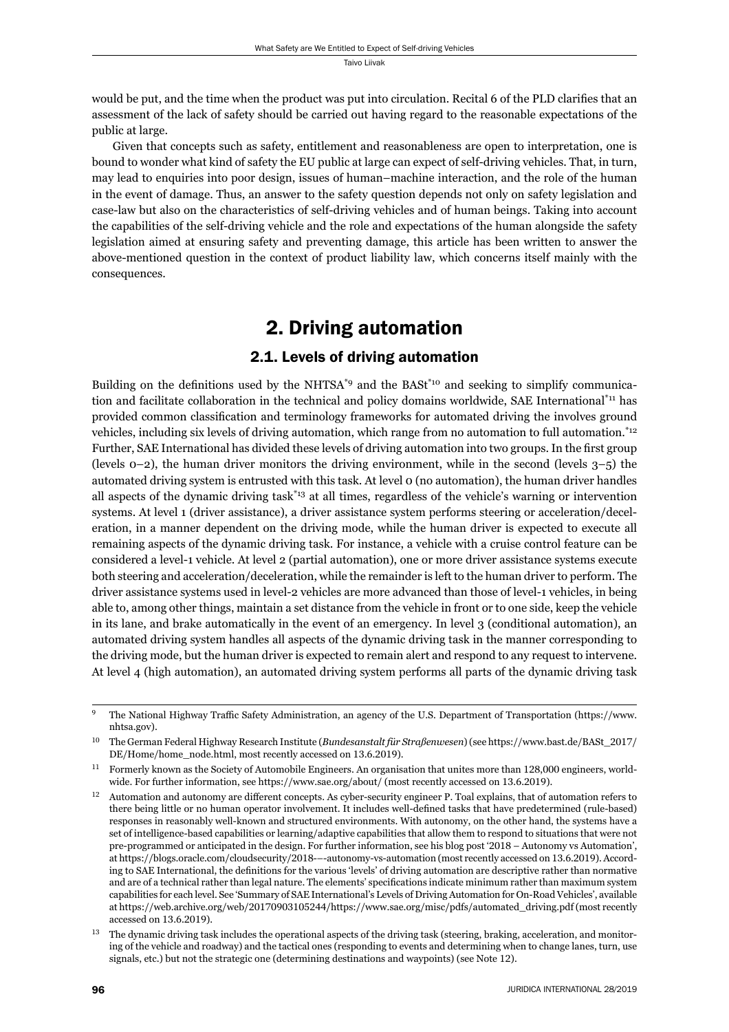would be put, and the time when the product was put into circulation. Recital 6 of the PLD clarifies that an assessment of the lack of safety should be carried out having regard to the reasonable expectations of the public at large.

Given that concepts such as safety, entitlement and reasonableness are open to interpretation, one is bound to wonder what kind of safety the EU public at large can expect of self-driving vehicles. That, in turn, may lead to enquiries into poor design, issues of human–machine interaction, and the role of the human in the event of damage. Thus, an answer to the safety question depends not only on safety legislation and case-law but also on the characteristics of self-driving vehicles and of human beings. Taking into account the capabilities of the self-driving vehicle and the role and expectations of the human alongside the safety legislation aimed at ensuring safety and preventing damage, this article has been written to answer the above-mentioned question in the context of product liability law, which concerns itself mainly with the consequences.

# 2. Driving automation

## 2.1. Levels of driving automation

Building on the definitions used by the NHTSA<sup>\*9</sup> and the BASt<sup>\*10</sup> and seeking to simplify communication and facilitate collaboration in the technical and policy domains worldwide, SAE International<sup>\*11</sup> has provided common classification and terminology frameworks for automated driving the involves ground vehicles, including six levels of driving automation, which range from no automation to full automation.\*12 Further, SAE International has divided these levels of driving automation into two groups. In the first group (levels  $0-2$ ), the human driver monitors the driving environment, while in the second (levels  $3-5$ ) the automated driving system is entrusted with this task. At level 0 (no automation), the human driver handles all aspects of the dynamic driving task\*13 at all times, regardless of the vehicle's warning or intervention systems. At level 1 (driver assistance), a driver assistance system performs steering or acceleration/deceleration, in a manner dependent on the driving mode, while the human driver is expected to execute all remaining aspects of the dynamic driving task. For instance, a vehicle with a cruise control feature can be considered a level-1 vehicle. At level 2 (partial automation), one or more driver assistance systems execute both steering and acceleration/deceleration, while the remainder is left to the human driver to perform. The driver assistance systems used in level-2 vehicles are more advanced than those of level-1 vehicles, in being able to, among other things, maintain a set distance from the vehicle in front or to one side, keep the vehicle in its lane, and brake automatically in the event of an emergency. In level 3 (conditional automation), an automated driving system handles all aspects of the dynamic driving task in the manner corresponding to the driving mode, but the human driver is expected to remain alert and respond to any request to intervene. At level 4 (high automation), an automated driving system performs all parts of the dynamic driving task

The National Highway Traffic Safety Administration, an agency of the U.S. Department of Transportation (https://www. nhtsa.gov).

<sup>&</sup>lt;sup>10</sup> The German Federal Highway Research Institute (*Bundesanstalt für Straßenwesen*) (see https://www.bast.de/BASt\_2017/ DE/Home/home\_node.html, most recently accessed on 13.6.2019).

 $^{11}$  Formerly known as the Society of Automobile Engineers. An organisation that unites more than 128,000 engineers, worldwide. For further information, see https://www.sae.org/about/ (most recently accessed on 13.6.2019).

 $^{12}$  Automation and autonomy are different concepts. As cyber-security engineer P. Toal explains, that of automation refers to there being little or no human operator involvement. It includes well-defined tasks that have predetermined (rule-based) responses in reasonably well-known and structured environments. With autonomy, on the other hand, the systems have a set of intelligence-based capabilities or learning/adaptive capabilities that allow them to respond to situations that were not pre-programmed or anticipated in the design. For further information, see his blog post '2018 – Autonomy vs Automation', at https://blogs.oracle.com/cloudsecurity/2018---autonomy-vs-automation (most recently accessed on 13.6.2019). According to SAE International, the definitions for the various 'levels' of driving automation are descriptive rather than normative and are of a technical rather than legal nature. The elements' specifications indicate minimum rather than maximum system capabilities for each level. See 'Summary of SAE International's Levels of Driving Automation for On-Road Vehicles', available at https://web.archive.org/web/20170903105244/https://www.sae.org/misc/pdfs/automated\_driving.pdf (most recently accessed on 13.6.2019).

The dynamic driving task includes the operational aspects of the driving task (steering, braking, acceleration, and monitoring of the vehicle and roadway) and the tactical ones (responding to events and determining when to change lanes, turn, use signals, etc.) but not the strategic one (determining destinations and waypoints) (see Note 12).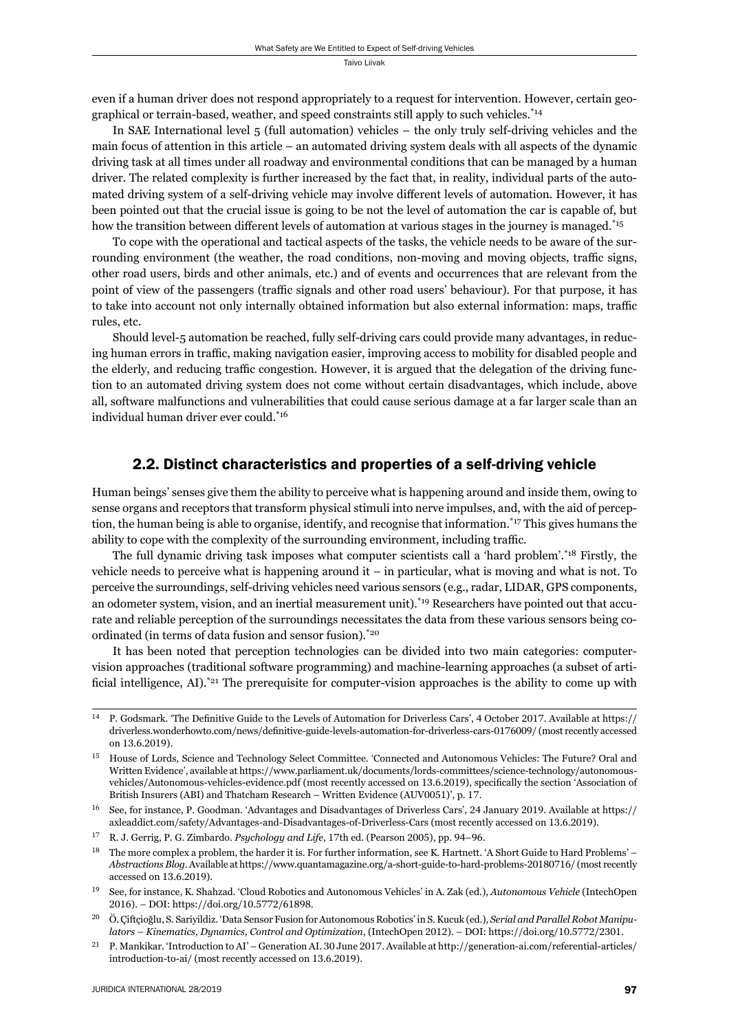even if a human driver does not respond appropriately to a request for intervention. However, certain geographical or terrain-based, weather, and speed constraints still apply to such vehicles.<sup>\*14</sup>

In SAE International level 5 (full automation) vehicles – the only truly self-driving vehicles and the main focus of attention in this article – an automated driving system deals with all aspects of the dynamic driving task at all times under all roadway and environmental conditions that can be managed by a human driver. The related complexity is further increased by the fact that, in reality, individual parts of the automated driving system of a self-driving vehicle may involve different levels of automation. However, it has been pointed out that the crucial issue is going to be not the level of automation the car is capable of, but how the transition between different levels of automation at various stages in the journey is managed.<sup>\*15</sup>

To cope with the operational and tactical aspects of the tasks, the vehicle needs to be aware of the surrounding environment (the weather, the road conditions, non-moving and moving objects, traffic signs, other road users, birds and other animals, etc.) and of events and occurrences that are relevant from the point of view of the passengers (traffic signals and other road users' behaviour). For that purpose, it has to take into account not only internally obtained information but also external information: maps, traffic rules, etc.

Should level-5 automation be reached, fully self-driving cars could provide many advantages, in reducing human errors in traffic, making navigation easier, improving access to mobility for disabled people and the elderly, and reducing traffic congestion. However, it is argued that the delegation of the driving function to an automated driving system does not come without certain disadvantages, which include, above all, software malfunctions and vulnerabilities that could cause serious damage at a far larger scale than an individual human driver ever could.\*16

## 2.2. Distinct characteristics and properties of a self-driving vehicle

Human beings' senses give them the ability to perceive what is happening around and inside them, owing to sense organs and receptors that transform physical stimuli into nerve impulses, and, with the aid of perception, the human being is able to organise, identify, and recognise that information.\*17 This gives humans the ability to cope with the complexity of the surrounding environment, including traffic.

The full dynamic driving task imposes what computer scientists call a 'hard problem'.\*18 Firstly, the vehicle needs to perceive what is happening around  $it - in$  particular, what is moving and what is not. To perceive the surroundings, self-driving vehicles need various sensors (e.g., radar, LIDAR, GPS components, an odometer system, vision, and an inertial measurement unit).\*19 Researchers have pointed out that accurate and reliable perception of the surroundings necessitates the data from these various sensors being coordinated (in terms of data fusion and sensor fusion).\*20

It has been noted that perception technologies can be divided into two main categories: computervision approaches (traditional software programming) and machine-learning approaches (a subset of artificial intelligence, AI).<sup>\*21</sup> The prerequisite for computer-vision approaches is the ability to come up with

 $14$  P. Godsmark. 'The Definitive Guide to the Levels of Automation for Driverless Cars', 4 October 2017. Available at https:// driverless.wonderhowto.com/news/definitive-guide-levels-automation-for-driverless-cars-0176009/ (most recently accessed on 13.6.2019).

<sup>&</sup>lt;sup>15</sup> House of Lords, Science and Technology Select Committee. 'Connected and Autonomous Vehicles: The Future? Oral and Written Evidence', available at https://www.parliament.uk/documents/lords-committees/science-technology/autonomousvehicles/Autonomous-vehicles-evidence.pdf (most recently accessed on 13.6.2019), specifically the section 'Association of British Insurers (ABI) and Thatcham Research – Written Evidence (AUV0051)', p. 17.

<sup>16</sup> See, for instance, P. Goodman. 'Advantages and Disadvantages of Driverless Cars', 24 January 2019. Available at https:// axleaddict.com/safety/Advantages-and-Disadvantages-of-Driverless-Cars (most recently accessed on 13.6.2019).

<sup>&</sup>lt;sup>17</sup> R. J. Gerrig, P. G. Zimbardo. *Psychology and Life*, 17th ed. (Pearson 2005), pp. 94–96.

<sup>&</sup>lt;sup>18</sup> The more complex a problem, the harder it is. For further information, see K. Hartnett. 'A Short Guide to Hard Problems' – *Abstractions Blog*. Available at https://www.quantamagazine.org/a-short-guide-to-hard-problems-20180716/ (most recently accessed on 13.6.2019).

ɲɺ See, for instance, K. Shahzad. 'Cloud Robotics and Autonomous Vehicles' in A. Zak (ed.), *Autonomous Vehicle* (IntechOpen 2016). – DOI: https://doi.org/10.5772/61898.

ɳɱ Ö. Çiftçioğlu, S. Sariyildiz. 'Data Sensor Fusion for Autonomous Robotics' in S. Kucuk (ed.), *Serial and Parallel Robot Manipulators – Kinematics, Dynamics, Control and Optimization*, (IntechOpen 2012). – DOI: https://doi.org/10.5772/2301.

<sup>&</sup>lt;sup>21</sup> P. Mankikar. 'Introduction to AI' – Generation AI. 30 June 2017. Available at http://generation-ai.com/referential-articles/ introduction-to-ai/ (most recently accessed on 13.6.2019).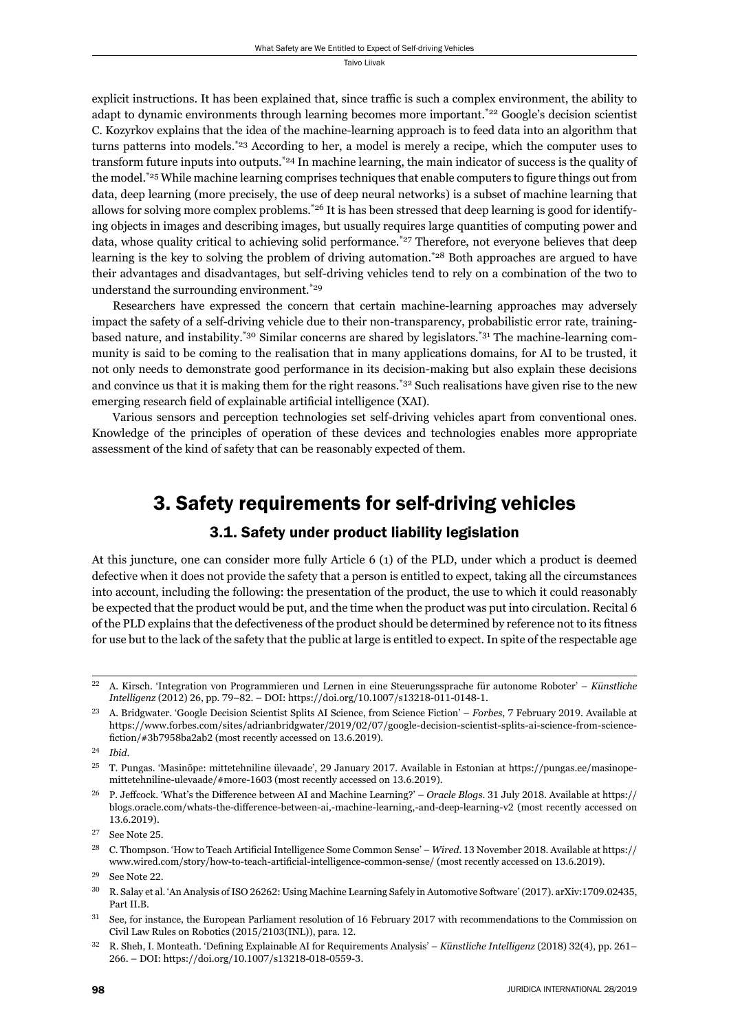explicit instructions. It has been explained that, since traffic is such a complex environment, the ability to adapt to dynamic environments through learning becomes more important.<sup>\*22</sup> Google's decision scientist C. Kozyrkov explains that the idea of the machine-learning approach is to feed data into an algorithm that turns patterns into models.\*23 According to her, a model is merely a recipe, which the computer uses to transform future inputs into outputs.\*24 In machine learning, the main indicator of success is the quality of the model.<sup>\*25</sup> While machine learning comprises techniques that enable computers to figure things out from data, deep learning (more precisely, the use of deep neural networks) is a subset of machine learning that allows for solving more complex problems.\*26 It is has been stressed that deep learning is good for identifying objects in images and describing images, but usually requires large quantities of computing power and data, whose quality critical to achieving solid performance.<sup>\*27</sup> Therefore, not everyone believes that deep learning is the key to solving the problem of driving automation.<sup>\*28</sup> Both approaches are argued to have their advantages and disadvantages, but self-driving vehicles tend to rely on a combination of the two to understand the surrounding environment.\*29

Researchers have expressed the concern that certain machine-learning approaches may adversely impact the safety of a self-driving vehicle due to their non-transparency, probabilistic error rate, trainingbased nature, and instability.\*30 Similar concerns are shared by legislators.\*31 The machine-learning community is said to be coming to the realisation that in many applications domains, for AI to be trusted, it not only needs to demonstrate good performance in its decision-making but also explain these decisions and convince us that it is making them for the right reasons.\*32 Such realisations have given rise to the new emerging research field of explainable artificial intelligence (XAI).

Various sensors and perception technologies set self-driving vehicles apart from conventional ones. Knowledge of the principles of operation of these devices and technologies enables more appropriate assessment of the kind of safety that can be reasonably expected of them.

## 3. Safety requirements for self-driving vehicles

## 3.1. Safety under product liability legislation

At this juncture, one can consider more fully Article 6 (1) of the PLD, under which a product is deemed defective when it does not provide the safety that a person is entitled to expect, taking all the circumstances into account, including the following: the presentation of the product, the use to which it could reasonably be expected that the product would be put, and the time when the product was put into circulation. Recital 6 of the PLD explains that the defectiveness of the product should be determined by reference not to its fitness for use but to the lack of the safety that the public at large is entitled to expect. In spite of the respectable age

<sup>&</sup>lt;sup>22</sup> A. Kirsch. 'Integration von Programmieren und Lernen in eine Steuerungssprache für autonome Roboter' – Künstliche *Intelligenz* (2012) 26, pp. 79-82. - DOI: https://doi.org/10.1007/s13218-011-0148-1.

<sup>&</sup>lt;sup>23</sup> A. Bridgwater. 'Google Decision Scientist Splits AI Science, from Science Fiction' – *Forbes*, 7 February 2019. Available at https://www.forbes.com/sites/adrianbridgwater/2019/02/07/google-decision-scientist-splits-ai-science-from-sciencefiction/#3b7958ba2ab2 (most recently accessed on 13.6.2019).

ɳɵ *Ibid*.

<sup>&</sup>lt;sup>25</sup> T. Pungas. 'Masinõpe: mittetehniline ülevaade', 29 January 2017. Available in Estonian at https://pungas.ee/masinopemittetehniline-ulevaade/#more-1603 (most recently accessed on 13.6.2019).

<sup>&</sup>lt;sup>26</sup> P. Jeffcock. 'What's the Difference between AI and Machine Learning?' – *Oracle Blogs*. 31 July 2018. Available at https:// blogs.oracle.com/whats-the-difference-between-ai,-machine-learning,-and-deep-learning-v2 (most recently accessed on 13.6.2019).

 $27$  See Note 25.

<sup>&</sup>lt;sup>28</sup> C. Thompson. 'How to Teach Artificial Intelligence Some Common Sense' – *Wired*. 13 November 2018. Available at https:// www.wired.com/story/how-to-teach-artificial-intelligence-common-sense/ (most recently accessed on 13.6.2019).

<sup>&</sup>lt;sup>29</sup> See Note 22.

<sup>&</sup>lt;sup>30</sup> R. Salay et al. 'An Analysis of ISO 26262: Using Machine Learning Safely in Automotive Software' (2017). arXiv:1709.02435, Part II.B.

 $31$  See, for instance, the European Parliament resolution of 16 February 2017 with recommendations to the Commission on Civil Law Rules on Robotics (2015/2103(INL)), para. 12.

<sup>&</sup>lt;sup>32</sup> R. Sheh, I. Monteath. 'Defining Explainable AI for Requirements Analysis' – *Künstliche Intelligenz* (2018) 32(4), pp. 261– 266. – DOI: https://doi.org/10.1007/s13218-018-0559-3.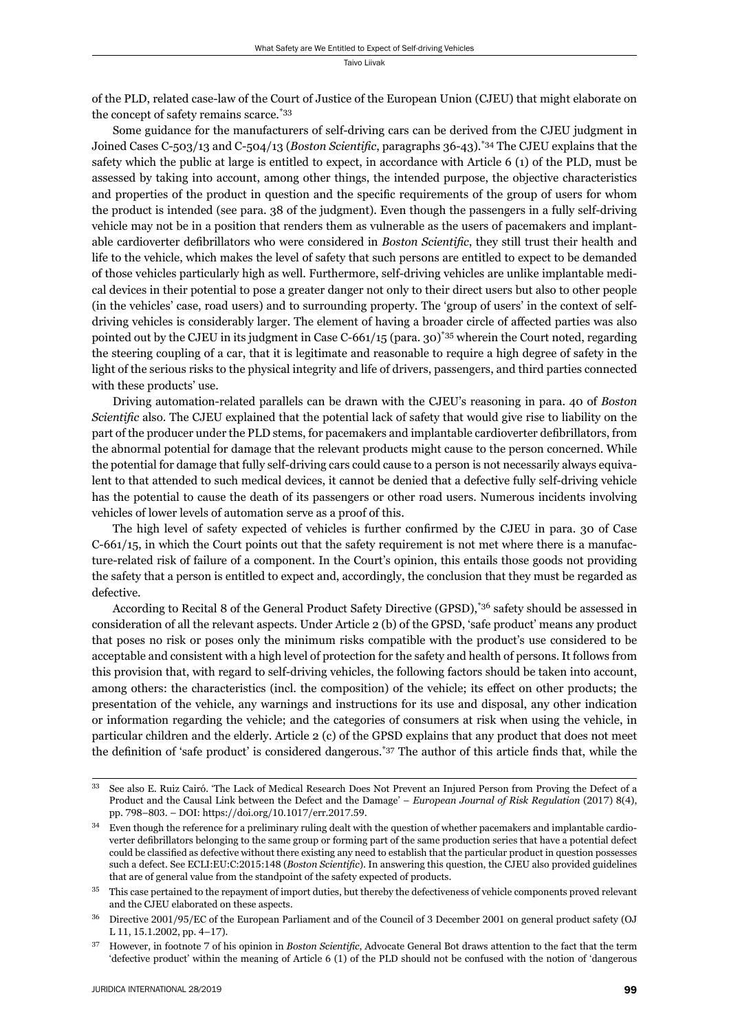of the PLD, related case-law of the Court of Justice of the European Union (CJEU) that might elaborate on the concept of safety remains scarce.\*33

Some guidance for the manufacturers of self-driving cars can be derived from the CJEU judgment in Joined Cases C-503/13 and C-504/13 (*Boston Scientific*, paragraphs 36-43).<sup>\*34</sup> The CJEU explains that the safety which the public at large is entitled to expect, in accordance with Article 6 (1) of the PLD, must be assessed by taking into account, among other things, the intended purpose, the objective characteristics and properties of the product in question and the specific requirements of the group of users for whom the product is intended (see para. 38 of the judgment). Even though the passengers in a fully self-driving vehicle may not be in a position that renders them as vulnerable as the users of pacemakers and implantable cardioverter defibrillators who were considered in *Boston Scientific*, they still trust their health and life to the vehicle, which makes the level of safety that such persons are entitled to expect to be demanded of those vehicles particularly high as well. Furthermore, self-driving vehicles are unlike implantable medical devices in their potential to pose a greater danger not only to their direct users but also to other people (in the vehicles' case, road users) and to surrounding property. The 'group of users' in the context of selfdriving vehicles is considerably larger. The element of having a broader circle of affected parties was also pointed out by the CJEU in its judgment in Case C-661/15 (para. 30)\*35 wherein the Court noted, regarding the steering coupling of a car, that it is legitimate and reasonable to require a high degree of safety in the light of the serious risks to the physical integrity and life of drivers, passengers, and third parties connected with these products' use.

Driving automation-related parallels can be drawn with the CJEU's reasoning in para. 40 of *Boston Scientific* also. The CJEU explained that the potential lack of safety that would give rise to liability on the part of the producer under the PLD stems, for pacemakers and implantable cardioverter defibrillators, from the abnormal potential for damage that the relevant products might cause to the person concerned. While the potential for damage that fully self-driving cars could cause to a person is not necessarily always equivalent to that attended to such medical devices, it cannot be denied that a defective fully self-driving vehicle has the potential to cause the death of its passengers or other road users. Numerous incidents involving vehicles of lower levels of automation serve as a proof of this.

The high level of safety expected of vehicles is further confirmed by the CJEU in para. 30 of Case C-661/15, in which the Court points out that the safety requirement is not met where there is a manufacture-related risk of failure of a component. In the Court's opinion, this entails those goods not providing the safety that a person is entitled to expect and, accordingly, the conclusion that they must be regarded as defective.

According to Recital 8 of the General Product Safety Directive (GPSD),\*36 safety should be assessed in consideration of all the relevant aspects. Under Article 2 (b) of the GPSD, 'safe product' means any product that poses no risk or poses only the minimum risks compatible with the product's use considered to be acceptable and consistent with a high level of protection for the safety and health of persons. It follows from this provision that, with regard to self-driving vehicles, the following factors should be taken into account, among others: the characteristics (incl. the composition) of the vehicle; its effect on other products; the presentation of the vehicle, any warnings and instructions for its use and disposal, any other indication or information regarding the vehicle; and the categories of consumers at risk when using the vehicle, in particular children and the elderly. Article 2 (c) of the GPSD explains that any product that does not meet the definition of 'safe product' is considered dangerous.<sup>\*37</sup> The author of this article finds that, while the

ɴɴ See also E. Ruiz Cairó. 'The Lack of Medical Research Does Not Prevent an Injured Person from Proving the Defect of a Product and the Causal Link between the Defect and the Damage' – *European Journal of Risk Regulation* (2017) 8(4), pp. 798–803. – DOI: https://doi.org/10.1017/err.2017.59.

 $34$  Even though the reference for a preliminary ruling dealt with the question of whether pacemakers and implantable cardioverter defibrillators belonging to the same group or forming part of the same production series that have a potential defect could be classified as defective without there existing any need to establish that the particular product in question possesses such a defect. See ECLI:EU:C:2015:148 (*Boston Scientific*). In answering this question, the CJEU also provided guidelines that are of general value from the standpoint of the safety expected of products.

<sup>&</sup>lt;sup>35</sup> This case pertained to the repayment of import duties, but thereby the defectiveness of vehicle components proved relevant and the CJEU elaborated on these aspects.

Directive 2001/95/EC of the European Parliament and of the Council of 3 December 2001 on general product safety (OJ L 11, 15.1.2002, pp. 4-17).

<sup>&</sup>lt;sup>37</sup> However, in footnote 7 of his opinion in *Boston Scientific*, Advocate General Bot draws attention to the fact that the term 'defective product' within the meaning of Article 6 (1) of the PLD should not be confused with the notion of 'dangerous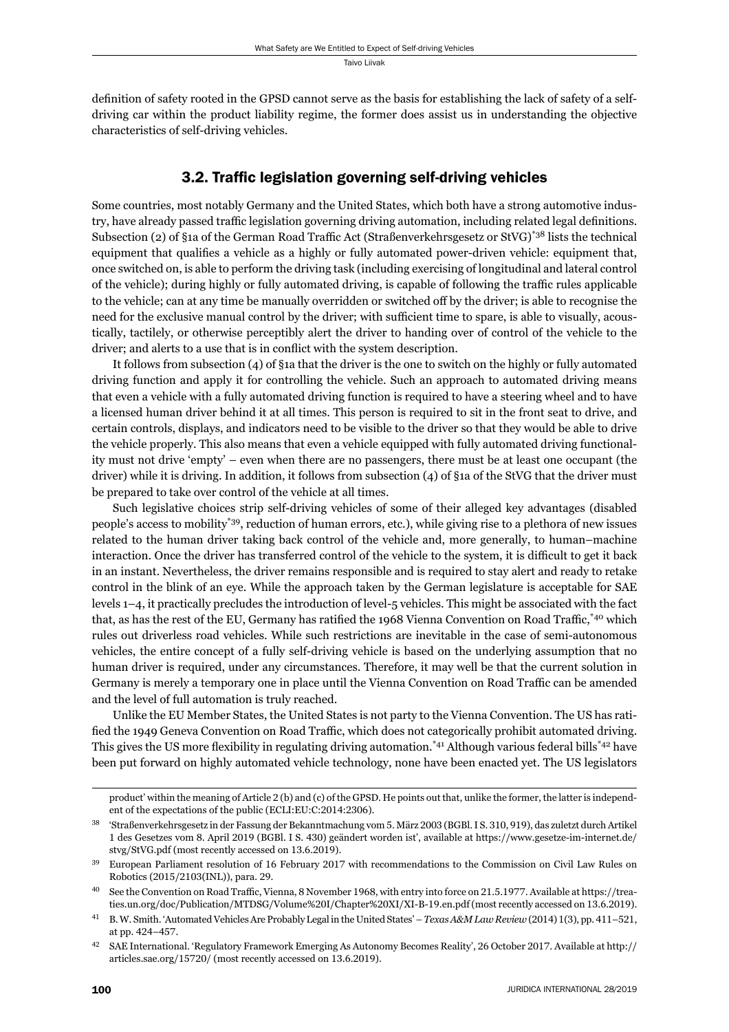definition of safety rooted in the GPSD cannot serve as the basis for establishing the lack of safety of a selfdriving car within the product liability regime, the former does assist us in understanding the objective characteristics of self-driving vehicles.

## 3.2. Traffic legislation governing self-driving vehicles

Some countries, most notably Germany and the United States, which both have a strong automotive industry, have already passed traffic legislation governing driving automation, including related legal definitions. Subsection (2) of §1a of the German Road Traffic Act (Straßenverkehrsgesetz or StVG)<sup>\*38</sup> lists the technical equipment that qualifies a vehicle as a highly or fully automated power-driven vehicle: equipment that, once switched on, is able to perform the driving task (including exercising of longitudinal and lateral control of the vehicle); during highly or fully automated driving, is capable of following the traffic rules applicable to the vehicle; can at any time be manually overridden or switched off by the driver; is able to recognise the need for the exclusive manual control by the driver; with sufficient time to spare, is able to visually, acoustically, tactilely, or otherwise perceptibly alert the driver to handing over of control of the vehicle to the driver; and alerts to a use that is in conflict with the system description.

It follows from subsection (4) of §1a that the driver is the one to switch on the highly or fully automated driving function and apply it for controlling the vehicle. Such an approach to automated driving means that even a vehicle with a fully automated driving function is required to have a steering wheel and to have a licensed human driver behind it at all times. This person is required to sit in the front seat to drive, and certain controls, displays, and indicators need to be visible to the driver so that they would be able to drive the vehicle properly. This also means that even a vehicle equipped with fully automated driving functionality must not drive 'empty' – even when there are no passengers, there must be at least one occupant (the driver) while it is driving. In addition, it follows from subsection (4) of §1a of the StVG that the driver must be prepared to take over control of the vehicle at all times.

Such legislative choices strip self-driving vehicles of some of their alleged key advantages (disabled people's access to mobility\*39, reduction of human errors, etc.), while giving rise to a plethora of new issues related to the human driver taking back control of the vehicle and, more generally, to human–machine interaction. Once the driver has transferred control of the vehicle to the system, it is difficult to get it back in an instant. Nevertheless, the driver remains responsible and is required to stay alert and ready to retake control in the blink of an eye. While the approach taken by the German legislature is acceptable for SAE levels 1–4, it practically precludes the introduction of level-5 vehicles. This might be associated with the fact that, as has the rest of the EU, Germany has ratified the 1968 Vienna Convention on Road Traffic,<sup>\*40</sup> which rules out driverless road vehicles. While such restrictions are inevitable in the case of semi-autonomous vehicles, the entire concept of a fully self-driving vehicle is based on the underlying assumption that no human driver is required, under any circumstances. Therefore, it may well be that the current solution in Germany is merely a temporary one in place until the Vienna Convention on Road Traffic can be amended and the level of full automation is truly reached.

Unlike the EU Member States, the United States is not party to the Vienna Convention. The US has ratified the 1949 Geneva Convention on Road Traffic, which does not categorically prohibit automated driving. This gives the US more flexibility in regulating driving automation.<sup>\*41</sup> Although various federal bills<sup>\*42</sup> have been put forward on highly automated vehicle technology, none have been enacted yet. The US legislators

product' within the meaning of Article 2 (b) and (c) of the GPSD. He points out that, unlike the former, the latter is independent of the expectations of the public (ECLI:EU:C:2014:2306).

<sup>&#</sup>x27;Straßenverkehrsgesetz in der Fassung der Bekanntmachung vom 5. März 2003 (BGBl. I S. 310, 919), das zuletzt durch Artikel 1 des Gesetzes vom 8. April 2019 (BGBl. I S. 430) geändert worden ist', available at https://www.gesetze-im-internet.de/ stvg/StVG.pdf (most recently accessed on 13.6.2019).

European Parliament resolution of 16 February 2017 with recommendations to the Commission on Civil Law Rules on Robotics (2015/2103(INL)), para. 29.

See the Convention on Road Traffic, Vienna, 8 November 1968, with entry into force on 21.5.1977. Available at https://treaties.un.org/doc/Publication/MTDSG/Volume%20I/Chapter%20XI/XI-B-19.en.pdf (most recently accessed on 13.6.2019).

<sup>&</sup>lt;sup>41</sup> B. W. Smith. 'Automated Vehicles Are Probably Legal in the United States' – *Texas A&M Law Review* (2014) 1(3), pp. 411–521, at pp. 424-457.

<sup>&</sup>lt;sup>42</sup> SAE International. 'Regulatory Framework Emerging As Autonomy Becomes Reality', 26 October 2017. Available at http:// articles.sae.org/15720/ (most recently accessed on 13.6.2019).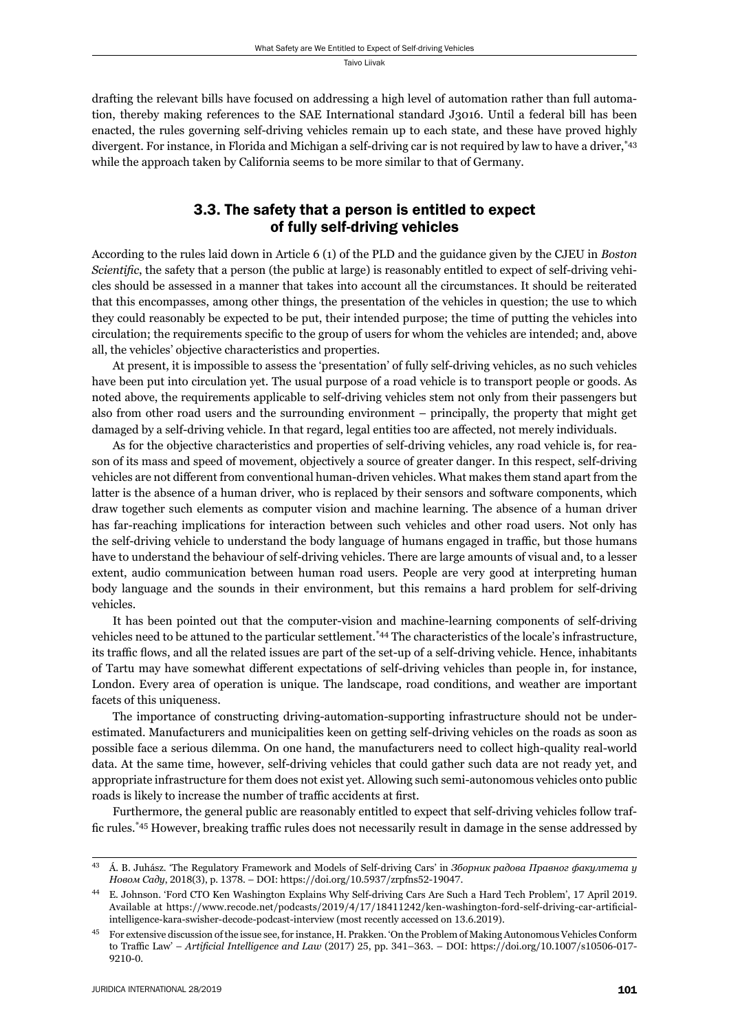drafting the relevant bills have focused on addressing a high level of automation rather than full automation, thereby making references to the SAE International standard J3016. Until a federal bill has been enacted, the rules governing self-driving vehicles remain up to each state, and these have proved highly divergent. For instance, in Florida and Michigan a self-driving car is not required by law to have a driver,\*43 while the approach taken by California seems to be more similar to that of Germany.

## 3.3. The safety that a person is entitled to expect of fully self-driving vehicles

According to the rules laid down in Article 6 (1) of the PLD and the guidance given by the CJEU in *Boston Scientific*, the safety that a person (the public at large) is reasonably entitled to expect of self-driving vehicles should be assessed in a manner that takes into account all the circumstances. It should be reiterated that this encompasses, among other things, the presentation of the vehicles in question; the use to which they could reasonably be expected to be put, their intended purpose; the time of putting the vehicles into circulation; the requirements specific to the group of users for whom the vehicles are intended; and, above all, the vehicles' objective characteristics and properties.

At present, it is impossible to assess the 'presentation' of fully self-driving vehicles, as no such vehicles have been put into circulation yet. The usual purpose of a road vehicle is to transport people or goods. As noted above, the requirements applicable to self-driving vehicles stem not only from their passengers but also from other road users and the surrounding environment – principally, the property that might get damaged by a self-driving vehicle. In that regard, legal entities too are affected, not merely individuals.

As for the objective characteristics and properties of self-driving vehicles, any road vehicle is, for reason of its mass and speed of movement, objectively a source of greater danger. In this respect, self-driving vehicles are not different from conventional human-driven vehicles. What makes them stand apart from the latter is the absence of a human driver, who is replaced by their sensors and software components, which draw together such elements as computer vision and machine learning. The absence of a human driver has far-reaching implications for interaction between such vehicles and other road users. Not only has the self-driving vehicle to understand the body language of humans engaged in traffic, but those humans have to understand the behaviour of self-driving vehicles. There are large amounts of visual and, to a lesser extent, audio communication between human road users. People are very good at interpreting human body language and the sounds in their environment, but this remains a hard problem for self-driving vehicles.

It has been pointed out that the computer-vision and machine-learning components of self-driving vehicles need to be attuned to the particular settlement.\*44 The characteristics of the locale's infrastructure, its traffic flows, and all the related issues are part of the set-up of a self-driving vehicle. Hence, inhabitants of Tartu may have somewhat different expectations of self-driving vehicles than people in, for instance, London. Every area of operation is unique. The landscape, road conditions, and weather are important facets of this uniqueness.

The importance of constructing driving-automation-supporting infrastructure should not be underestimated. Manufacturers and municipalities keen on getting self-driving vehicles on the roads as soon as possible face a serious dilemma. On one hand, the manufacturers need to collect high-quality real-world data. At the same time, however, self-driving vehicles that could gather such data are not ready yet, and appropriate infrastructure for them does not exist yet. Allowing such semi-autonomous vehicles onto public roads is likely to increase the number of traffic accidents at first.

Furthermore, the general public are reasonably entitled to expect that self-driving vehicles follow traffic rules.<sup>\*45</sup> However, breaking traffic rules does not necessarily result in damage in the sense addressed by

ɵɴ Á . B. Juhá sz. 'The Regulatory Framework and Models of Self-driving Cars' in *Зборник радова Правног факултета у Новом Саду*, 2018(3), p. 1378. – DOI: https://doi.org/10.5937/zrpfns52-19047.

E. Johnson. 'Ford CTO Ken Washington Explains Why Self-driving Cars Are Such a Hard Tech Problem', 17 April 2019. Available at https://www.recode.net/podcasts/2019/4/17/18411242/ken-washington-ford-self-driving-car-artificialintelligence-kara-swisher-decode-podcast-interview (most recently accessed on 13.6.2019).

ɵɶ For extensive discussion of the issue see, for instance, H. Prakken. 'On the Problem of Making Autonomous Vehicles Conform to Traffic Law' – *Artificial Intelligence and Law* (2017) 25, pp. 341-363. – DOI: https://doi.org/10.1007/s10506-017-9210-0.